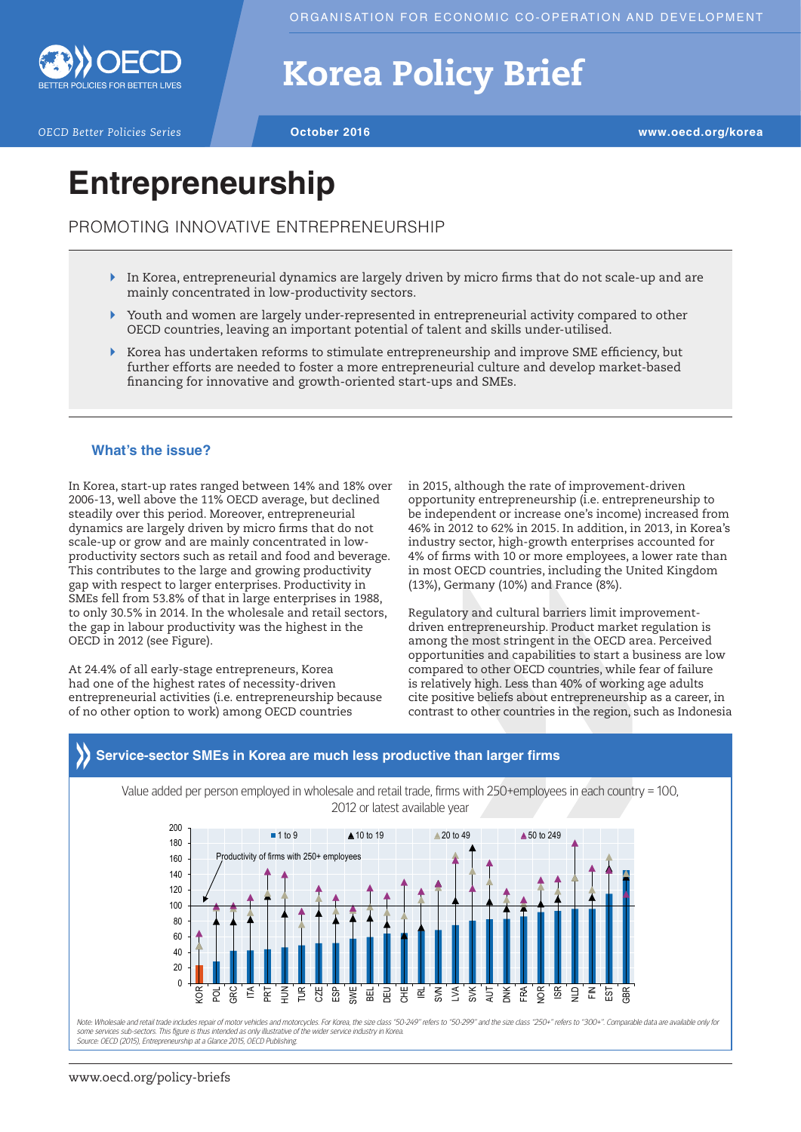

# Korea Policy Brief

*OECD Better Policies Series* **October 2016 www.oecd.org/korea**

# **Entrepreneurship**

PROMOTING INNOVATIVE ENTREPRENEURSHIP

- $\blacktriangleright$  In Korea, entrepreneurial dynamics are largely driven by micro firms that do not scale-up and are mainly concentrated in low-productivity sectors.
- ` Youth and women are largely under-represented in entrepreneurial activity compared to other OECD countries, leaving an important potential of talent and skills under-utilised.
- $\blacktriangleright$  Korea has undertaken reforms to stimulate entrepreneurship and improve SME efficiency, but further efforts are needed to foster a more entrepreneurial culture and develop market-based financing for innovative and growth-oriented start-ups and SMEs.

#### **What's the issue?**

In Korea, start-up rates ranged between 14% and 18% over 2006-13, well above the 11% OECD average, but declined steadily over this period. Moreover, entrepreneurial dynamics are largely driven by micro firms that do not scale-up or grow and are mainly concentrated in lowproductivity sectors such as retail and food and beverage. This contributes to the large and growing productivity gap with respect to larger enterprises. Productivity in SMEs fell from 53.8% of that in large enterprises in 1988, to only 30.5% in 2014. In the wholesale and retail sectors, the gap in labour productivity was the highest in the OECD in 2012 (see Figure).

At 24.4% of all early-stage entrepreneurs, Korea had one of the highest rates of necessity-driven entrepreneurial activities (i.e. entrepreneurship because of no other option to work) among OECD countries

in 2015, although the rate of improvement-driven opportunity entrepreneurship (i.e. entrepreneurship to be independent or increase one's income) increased from 46% in 2012 to 62% in 2015. In addition, in 2013, in Korea's industry sector, high-growth enterprises accounted for 4% of firms with 10 or more employees, a lower rate than in most OECD countries, including the United Kingdom (13%), Germany (10%) and France (8%).

Regulatory and cultural barriers limit improvementdriven entrepreneurship. Product market regulation is among the most stringent in the OECD area. Perceived opportunities and capabilities to start a business are low compared to other OECD countries, while fear of failure is relatively high. Less than 40% of working age adults cite positive beliefs about entrepreneurship as a career, in contrast to other countries in the region, such as Indonesia



### **Service-sector SMEs in Korea are much less productive than larger firms**